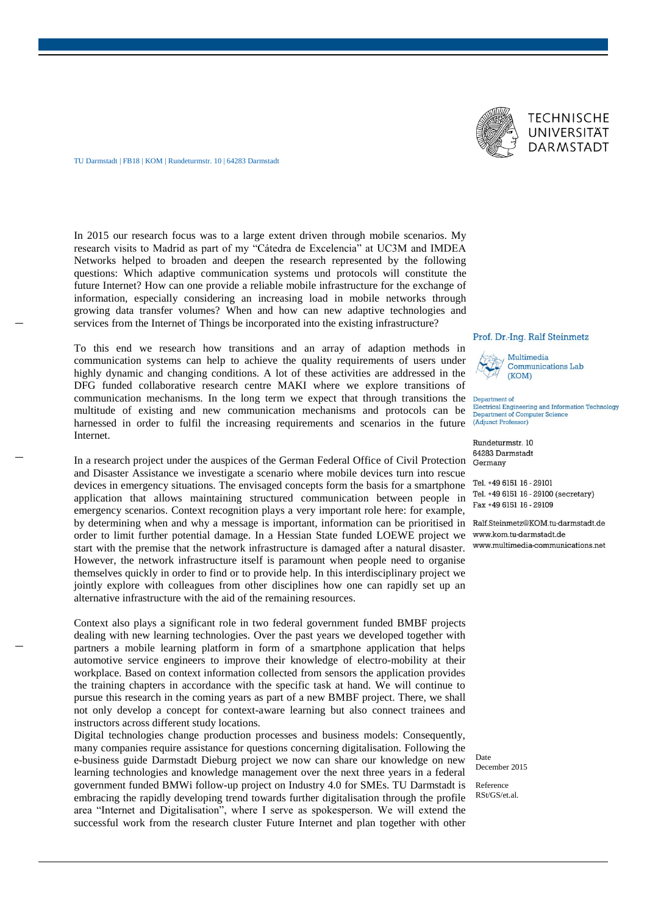

In 2015 our research focus was to a large extent driven through mobile scenarios. My research visits to Madrid as part of my "Cátedra de Excelencia" at UC3M and IMDEA Networks helped to broaden and deepen the research represented by the following questions: Which adaptive communication systems und protocols will constitute the future Internet? How can one provide a reliable mobile infrastructure for the exchange of information, especially considering an increasing load in mobile networks through growing data transfer volumes? When and how can new adaptive technologies and services from the Internet of Things be incorporated into the existing infrastructure?

To this end we research how transitions and an array of adaption methods in communication systems can help to achieve the quality requirements of users under highly dynamic and changing conditions. A lot of these activities are addressed in the DFG funded collaborative research centre MAKI where we explore transitions of communication mechanisms. In the long term we expect that through transitions the multitude of existing and new communication mechanisms and protocols can be harnessed in order to fulfil the increasing requirements and scenarios in the future Internet.

In a research project under the auspices of the German Federal Office of Civil Protection and Disaster Assistance we investigate a scenario where mobile devices turn into rescue devices in emergency situations. The envisaged concepts form the basis for a smartphone application that allows maintaining structured communication between people in emergency scenarios. Context recognition plays a very important role here: for example, by determining when and why a message is important, information can be prioritised in Ralf.Steinmetz@KOM.tu-darmstadt.de order to limit further potential damage. In a Hessian State funded LOEWE project we start with the premise that the network infrastructure is damaged after a natural disaster. However, the network infrastructure itself is paramount when people need to organise themselves quickly in order to find or to provide help. In this interdisciplinary project we jointly explore with colleagues from other disciplines how one can rapidly set up an alternative infrastructure with the aid of the remaining resources.

Context also plays a significant role in two federal government funded BMBF projects dealing with new learning technologies. Over the past years we developed together with partners a mobile learning platform in form of a smartphone application that helps automotive service engineers to improve their knowledge of electro-mobility at their workplace. Based on context information collected from sensors the application provides the training chapters in accordance with the specific task at hand. We will continue to pursue this research in the coming years as part of a new BMBF project. There, we shall not only develop a concept for context-aware learning but also connect trainees and instructors across different study locations.

Digital technologies change production processes and business models: Consequently, many companies require assistance for questions concerning digitalisation. Following the e-business guide Darmstadt Dieburg project we now can share our knowledge on new learning technologies and knowledge management over the next three years in a federal government funded BMWi follow-up project on Industry 4.0 for SMEs. TU Darmstadt is embracing the rapidly developing trend towards further digitalisation through the profile area "Internet and Digitalisation", where I serve as spokesperson. We will extend the successful work from the research cluster Future Internet and plan together with other

## Prof. Dr.-Ing. Ralf Steinmetz



Department of Electrical Engineering and Information Technology Department of Computer Science (Adjunct Professor)

Rundeturmstr. 10 64283 Darmstadt Germany

Tel. +49 6151 16 - 29101 Tel. +49 6151 16 - 29100 (secretary) Fax +49 6151 16 - 29109

www.multimedia-communications.net

Date December 2015

Reference RSt/GS/et.al.